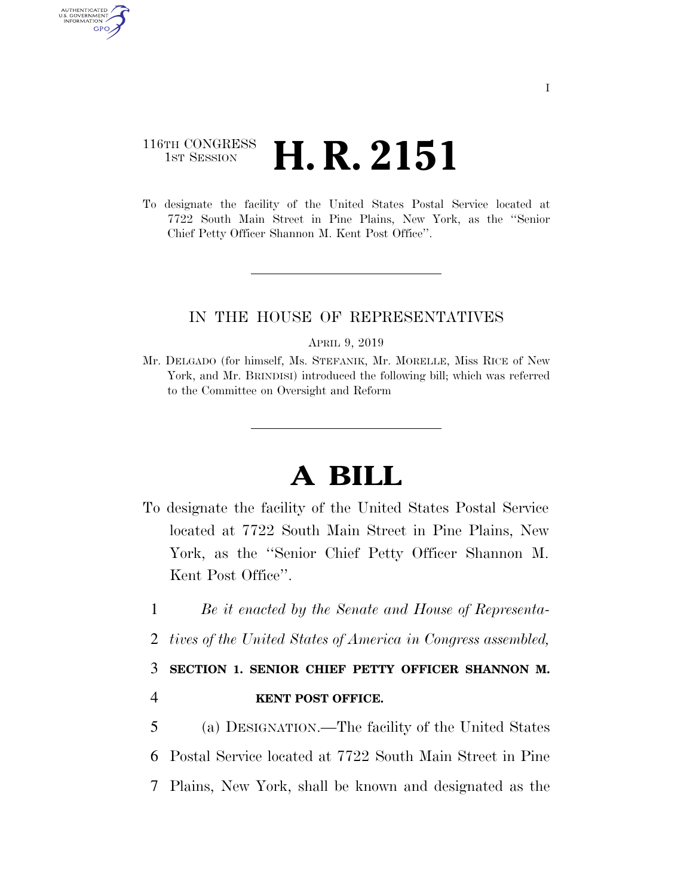## 116TH CONGRESS <sup>TH CONGRESS</sup> **H. R. 2151**

AUTHENTICATED U.S. GOVERNMENT GPO

> To designate the facility of the United States Postal Service located at 7722 South Main Street in Pine Plains, New York, as the ''Senior Chief Petty Officer Shannon M. Kent Post Office''.

## IN THE HOUSE OF REPRESENTATIVES

APRIL 9, 2019

Mr. DELGADO (for himself, Ms. STEFANIK, Mr. MORELLE, Miss RICE of New York, and Mr. BRINDISI) introduced the following bill; which was referred to the Committee on Oversight and Reform

## **A BILL**

- To designate the facility of the United States Postal Service located at 7722 South Main Street in Pine Plains, New York, as the ''Senior Chief Petty Officer Shannon M. Kent Post Office''.
- 1 *Be it enacted by the Senate and House of Representa-*
- 2 *tives of the United States of America in Congress assembled,*

## 3 **SECTION 1. SENIOR CHIEF PETTY OFFICER SHANNON M.**  4 **KENT POST OFFICE.**

5 (a) DESIGNATION.—The facility of the United States 6 Postal Service located at 7722 South Main Street in Pine 7 Plains, New York, shall be known and designated as the